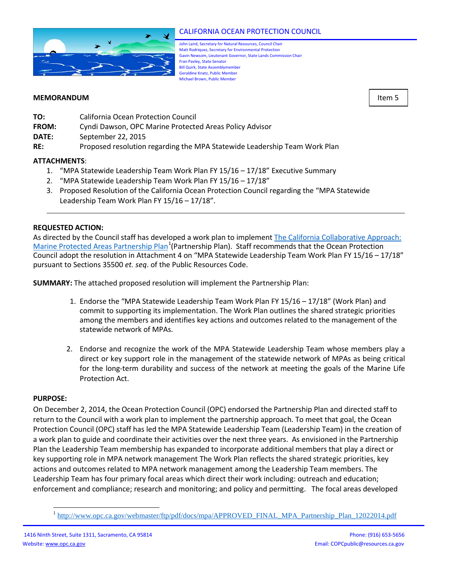

# CALIFORNIA OCEAN PROTECTION COUNCIL

John Laird, Secretary for Natural Resources, Council Chair Matt Rodriquez, Secretary for Environmental Protection Gavin Newsom, Lieutenant Governor, State Lands Commission Chair Fran Pavley, State Senator Bill Quirk, State Assemblymember Geraldine Knatz, Public Member Michael Brown, Public Member

## **MEMORANDUM** Item 5

- **TO:** California Ocean Protection Council
- **FROM:** Cyndi Dawson, OPC Marine Protected Areas Policy Advisor
- **DATE:** September 22, 2015
- **RE:** Proposed resolution regarding the MPA Statewide Leadership Team Work Plan

## **ATTACHMENTS**:

- 1. "MPA Statewide Leadership Team Work Plan FY 15/16 17/18" Executive Summary
- 2. "MPA Statewide Leadership Team Work Plan FY 15/16 17/18"
- 3. Proposed Resolution of the California Ocean Protection Council regarding the "MPA Statewide Leadership Team Work Plan FY 15/16 – 17/18".

### **REQUESTED ACTION:**

As directed by the Council staff has developed a work plan to implemen[t The California Collaborative Approach:](http://www.opc.ca.gov/webmaster/ftp/pdf/docs/mpa/APPROVED_FINAL_MPA_Partnership_Plan_12022014.pdf)  [Marine Protected Areas Partnership Plan](http://www.opc.ca.gov/webmaster/ftp/pdf/docs/mpa/APPROVED_FINAL_MPA_Partnership_Plan_12022014.pdf)<sup>[1](#page-0-0)</sup> (Partnership Plan). Staff recommends that the Ocean Protection Council adopt the resolution in Attachment 4 on "MPA Statewide Leadership Team Work Plan FY 15/16 – 17/18" pursuant to Sections 35500 *et. seq*. of the Public Resources Code.

**SUMMARY:** The attached proposed resolution will implement the Partnership Plan:

- 1. Endorse the "MPA Statewide Leadership Team Work Plan FY 15/16 17/18" (Work Plan) and commit to supporting its implementation. The Work Plan outlines the shared strategic priorities among the members and identifies key actions and outcomes related to the management of the statewide network of MPAs.
- 2. Endorse and recognize the work of the MPA Statewide Leadership Team whose members play a direct or key support role in the management of the statewide network of MPAs as being critical for the long-term durability and success of the network at meeting the goals of the Marine Life Protection Act.

#### **PURPOSE:**

 $\overline{a}$ 

On December 2, 2014, the Ocean Protection Council (OPC) endorsed the Partnership Plan and directed staff to return to the Council with a work plan to implement the partnership approach. To meet that goal, the Ocean Protection Council (OPC) staff has led the MPA Statewide Leadership Team (Leadership Team) in the creation of a work plan to guide and coordinate their activities over the next three years. As envisioned in the Partnership Plan the Leadership Team membership has expanded to incorporate additional members that play a direct or key supporting role in MPA network management The Work Plan reflects the shared strategic priorities, key actions and outcomes related to MPA network management among the Leadership Team members. The Leadership Team has four primary focal areas which direct their work including: outreach and education; enforcement and compliance; research and monitoring; and policy and permitting. The focal areas developed

<span id="page-0-0"></span><sup>1</sup> [http://www.opc.ca.gov/webmaster/ftp/pdf/docs/mpa/APPROVED\\_FINAL\\_MPA\\_Partnership\\_Plan\\_12022014.pdf](http://www.opc.ca.gov/webmaster/ftp/pdf/docs/mpa/APPROVED_FINAL_MPA_Partnership_Plan_12022014.pdf)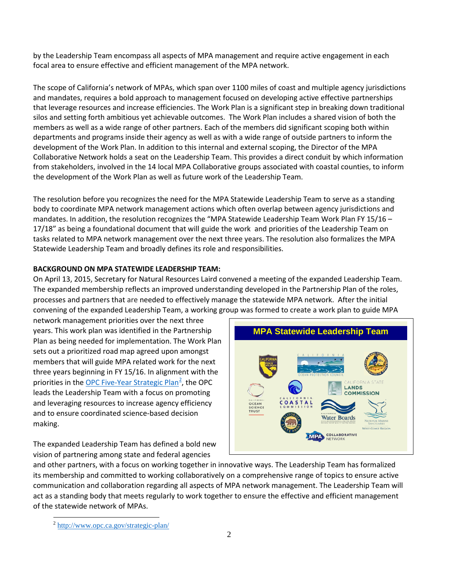by the Leadership Team encompass all aspects of MPA management and require active engagement in each focal area to ensure effective and efficient management of the MPA network.

The scope of California's network of MPAs, which span over 1100 miles of coast and multiple agency jurisdictions and mandates, requires a bold approach to management focused on developing active effective partnerships that leverage resources and increase efficiencies. The Work Plan is a significant step in breaking down traditional silos and setting forth ambitious yet achievable outcomes. The Work Plan includes a shared vision of both the members as well as a wide range of other partners. Each of the members did significant scoping both within departments and programs inside their agency as well as with a wide range of outside partners to inform the development of the Work Plan. In addition to this internal and external scoping, the Director of the MPA Collaborative Network holds a seat on the Leadership Team. This provides a direct conduit by which information from stakeholders, involved in the 14 local MPA Collaborative groups associated with coastal counties, to inform the development of the Work Plan as well as future work of the Leadership Team.

The resolution before you recognizes the need for the MPA Statewide Leadership Team to serve as a standing body to coordinate MPA network management actions which often overlap between agency jurisdictions and mandates. In addition, the resolution recognizes the "MPA Statewide Leadership Team Work Plan FY 15/16 -17/18" as being a foundational document that will guide the work and priorities of the Leadership Team on tasks related to MPA network management over the next three years. The resolution also formalizes the MPA Statewide Leadership Team and broadly defines its role and responsibilities.

### **BACKGROUND ON MPA STATEWIDE LEADERSHIP TEAM:**

On April 13, 2015, Secretary for Natural Resources Laird convened a meeting of the expanded Leadership Team. The expanded membership reflects an improved understanding developed in the Partnership Plan of the roles, processes and partners that are needed to effectively manage the statewide MPA network. After the initial convening of the expanded Leadership Team, a working group was formed to create a work plan to guide MPA

network management priorities over the next three years. This work plan was identified in the Partnership Plan as being needed for implementation. The Work Plan sets out a prioritized road map agreed upon amongst members that will guide MPA related work for the next three years beginning in FY 15/16. In alignment with the priorities in the **OPC Five-Year Strategic Plan<sup>[2](#page-1-0)</sup>**, the OPC leads the Leadership Team with a focus on promoting and leveraging resources to increase agency efficiency and to ensure coordinated science-based decision making.

The expanded Leadership Team has defined a bold new vision of partnering among state and federal agencies



and other partners, with a focus on working together in innovative ways. The Leadership Team has formalized its membership and committed to working collaboratively on a comprehensive range of topics to ensure active communication and collaboration regarding all aspects of MPA network management. The Leadership Team will act as a standing body that meets regularly to work together to ensure the effective and efficient management of the statewide network of MPAs.

<span id="page-1-0"></span><sup>&</sup>lt;sup>2</sup> <http://www.opc.ca.gov/strategic-plan/>  $\overline{a}$